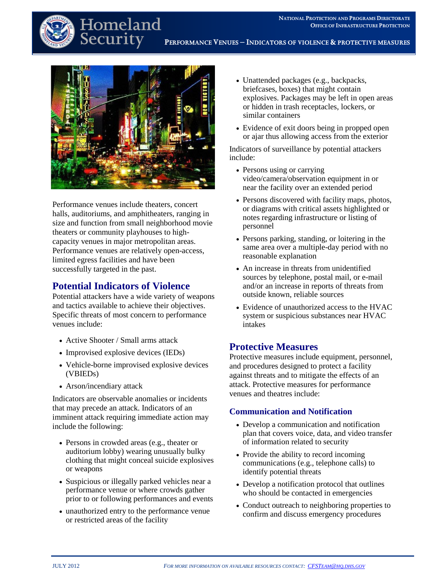

# Homeland Securit

• Persons or teams of people attempting to **PERFORMANCE VENUES – INDICATORS OF VIOLENCE &PROTECTIVE MEASURES**



Performance venues include theaters, concert halls, auditoriums, and amphitheaters, ranging in size and function from small neighborhood movie theaters or community playhouses to highcapacity venues in major metropolitan areas. Performance venues are relatively open-access, limited egress facilities and have been successfully targeted in the past.

# **Potential Indicators of Violence**

Potential attackers have a wide variety of weapons and tactics available to achieve their objectives. Specific threats of most concern to performance venues include:

- Active Shooter / Small arms attack
- Improvised explosive devices (IEDs)
- Vehicle-borne improvised explosive devices (VBIEDs)
- Arson/incendiary attack

Indicators are observable anomalies or incidents that may precede an attack. Indicators of an imminent attack requiring immediate action may include the following:

- Persons in crowded areas (e.g., theater or auditorium lobby) wearing unusually bulky clothing that might conceal suicide explosives or weapons
- Suspicious or illegally parked vehicles near a performance venue or where crowds gather prior to or following performances and events
- unauthorized entry to the performance venue or restricted areas of the facility
- Unattended packages (e.g., backpacks, briefcases, boxes) that might contain explosives. Packages may be left in open areas or hidden in trash receptacles, lockers, or similar containers
- Evidence of exit doors being in propped open or ajar thus allowing access from the exterior

Indicators of surveillance by potential attackers include:

- Persons using or carrying video/camera/observation equipment in or near the facility over an extended period
- Persons discovered with facility maps, photos, or diagrams with critical assets highlighted or notes regarding infrastructure or listing of personnel
- Persons parking, standing, or loitering in the same area over a multiple-day period with no reasonable explanation
- An increase in threats from unidentified sources by telephone, postal mail, or e-mail and/or an increase in reports of threats from outside known, reliable sources
- Evidence of unauthorized access to the HVAC system or suspicious substances near HVAC intakes

## **Protective Measures**

Protective measures include equipment, personnel, and procedures designed to protect a facility against threats and to mitigate the effects of an attack. Protective measures for performance venues and theatres include:

#### **Communication and Notification**

- Develop a communication and notification plan that covers voice, data, and video transfer of information related to security
- Provide the ability to record incoming communications (e.g., telephone calls) to identify potential threats
- Develop a notification protocol that outlines who should be contacted in emergencies
- Conduct outreach to neighboring properties to confirm and discuss emergency procedures